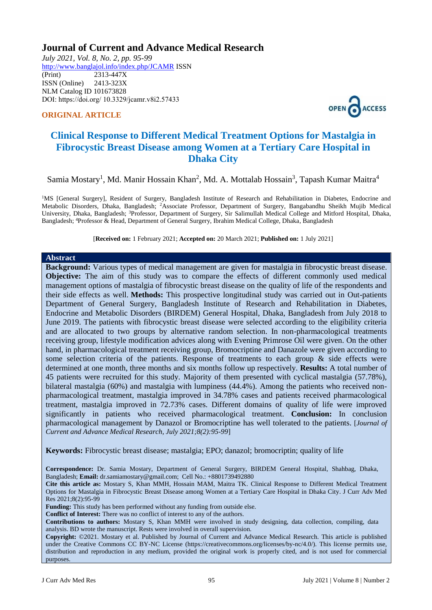# **Journal of Current and Advance Medical Research**

*July 2021, Vol. 8, No. 2, pp. 95-99* <http://www.banglajol.info/index.php/JCAMR>ISSN (Print) 2313-447X ISSN (Online) 2413-323X [NLM Catalog](https://www.ncbi.nlm.nih.gov/nlmcatalog/101673828) ID 101673828 DOI: https://doi.org/ 10.3329/jcamr.v8i2.57433

### **ORIGINAL ARTICLE**



# **Clinical Response to Different Medical Treatment Options for Mastalgia in Fibrocystic Breast Disease among Women at a Tertiary Care Hospital in Dhaka City**

Samia Mostary<sup>1</sup>, Md. Manir Hossain Khan<sup>2</sup>, Md. A. Mottalab Hossain<sup>3</sup>, Tapash Kumar Maitra<sup>4</sup>

<sup>1</sup>MS [General Surgery], Resident of Surgery, Bangladesh Institute of Research and Rehabilitation in Diabetes, Endocrine and Metabolic Disorders, Dhaka, Bangladesh; <sup>2</sup>Associate Professor, Department of Surgery, Bangabandhu Sheikh Mujib Medical University, Dhaka, Bangladesh; <sup>3</sup>Professor, Department of Surgery, Sir Salimullah Medical College and Mitford Hospital, Dhaka, Bangladesh; <sup>4</sup>Professor & Head, Department of General Surgery, Ibrahim Medical College, Dhaka, Bangladesh

[**Received on:** 1 February 2021; **Accepted on:** 20 March 2021; **Published on:** 1 July 2021]

#### **Abstract**

**Background:** Various types of medical management are given for mastalgia in fibrocystic breast disease. **Objective:** The aim of this study was to compare the effects of different commonly used medical management options of mastalgia of fibrocystic breast disease on the quality of life of the respondents and their side effects as well. **Methods:** This prospective longitudinal study was carried out in Out-patients Department of General Surgery, Bangladesh Institute of Research and Rehabilitation in Diabetes, Endocrine and Metabolic Disorders (BIRDEM) General Hospital, Dhaka, Bangladesh from July 2018 to June 2019. The patients with fibrocystic breast disease were selected according to the eligibility criteria and are allocated to two groups by alternative random selection. In non-pharmacological treatments receiving group, lifestyle modification advices along with Evening Primrose Oil were given. On the other hand, in pharmacological treatment receiving group, Bromocriptine and Danazole were given according to some selection criteria of the patients. Response of treatments to each group & side effects were determined at one month, three months and six months follow up respectively. **Results:** A total number of 45 patients were recruited for this study. Majority of them presented with cyclical mastalgia (57.78%), bilateral mastalgia (60%) and mastalgia with lumpiness (44.4%). Among the patients who received nonpharmacological treatment, mastalgia improved in 34.78% cases and patients received pharmacological treatment, mastalgia improved in 72.73% cases. Different domains of quality of life were improved significantly in patients who received pharmacological treatment. **Conclusion:** In conclusion pharmacological management by Danazol or Bromocriptine has well tolerated to the patients. [*Journal of Current and Advance Medical Research, July 2021;8(2):95-99*]

**Keywords:** Fibrocystic breast disease; mastalgia; EPO; danazol; bromocriptin; quality of life

**Correspondence:** Dr. Samia Mostary, Department of General Surgery, BIRDEM General Hospital, Shahbag, Dhaka, Bangladesh; **Email:** [dr.samiamostary@gmail.com;](mailto:dr.samiamostary@gmail.com) Cell No.: +8801739492880

**Cite this article as:** Mostary S, Khan MMH, Hossain MAM, Maitra TK. Clinical Response to Different Medical Treatment Options for Mastalgia in Fibrocystic Breast Disease among Women at a Tertiary Care Hospital in Dhaka City. J Curr Adv Med Res 2021;8(2):95-99

**Funding:** This study has been performed without any funding from outside else.

**Conflict of Interest:** There was no conflict of interest to any of the authors.

**Contributions to authors:** Mostary S, Khan MMH were involved in study designing, data collection, compiling, data analysis. BD wrote the manuscript. Rests were involved in overall supervision.

**Copyright:** ©2021. Mostary et al. Published by Journal of Current and Advance Medical Research. This article is published under the Creative Commons CC BY-NC License (https://creativecommons.org/licenses/by-nc/4.0/). This license permits use, distribution and reproduction in any medium, provided the original work is properly cited, and is not used for commercial purposes.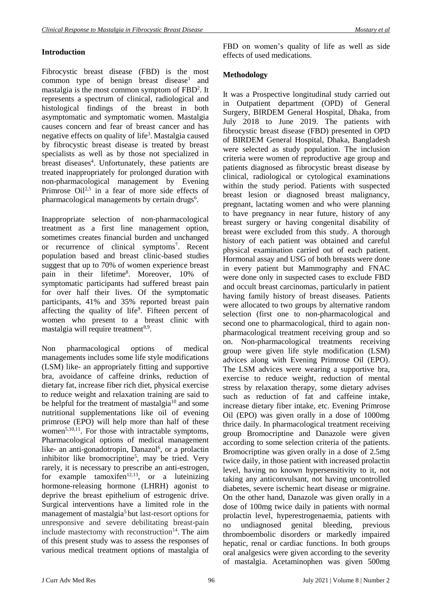## **Introduction**

Fibrocystic breast disease (FBD) is the most common type of benign breast disease<sup>1</sup> and mastalgia is the most common symptom of FBD<sup>2</sup>. It represents a spectrum of clinical, radiological and histological findings of the breast in both asymptomatic and symptomatic women. Mastalgia causes concern and fear of breast cancer and has negative effects on quality of life<sup>3</sup>. Mastalgia caused by fibrocystic breast disease is treated by breast specialists as well as by those not specialized in breast diseases<sup>4</sup>. Unfortunately, these patients are treated inappropriately for prolonged duration with non-pharmacological management by Evening Primrose Oil<sup>2,5</sup> in a fear of more side effects of pharmacological managements by certain drugs<sup>6</sup>.

Inappropriate selection of non-pharmacological treatment as a first line management option, sometimes creates financial burden and unchanged or recurrence of clinical symptoms<sup>7</sup>. Recent population based and breast clinic-based studies suggest that up to 70% of women experience breast pain in their lifetime<sup>8</sup>. Moreover, 10% of symptomatic participants had suffered breast pain for over half their lives. Of the symptomatic participants, 41% and 35% reported breast pain affecting the quality of life $9$ . Fifteen percent of women who present to a breast clinic with mastalgia will require treatment<sup>8,9</sup>.

Non pharmacological options of medical managements includes some life style modifications (LSM) like- an appropriately fitting and supportive bra, avoidance of caffeine drinks, reduction of dietary fat, increase fiber rich diet, physical exercise to reduce weight and relaxation training are said to be helpful for the treatment of mastalgia<sup>10</sup> and some nutritional supplementations like oil of evening primrose (EPO) will help more than half of these women<sup>5,10,11</sup>. For those with intractable symptoms, Pharmacological options of medical management like- an anti-gonadotropin, Danazol<sup>6</sup>, or a prolactin inhibitor like bromocriptine<sup>5</sup>, may be tried. Very rarely, it is necessary to prescribe an anti-estrogen, for example tamoxifen<sup>12,13</sup>, or a luteinizing hormone-releasing hormone (LHRH) agonist to deprive the breast epithelium of estrogenic drive. Surgical interventions have a limited role in the management of mastalgia<sup>5</sup> but last-resort options for unresponsive and severe debilitating breast-pain include mastectomy with reconstruction $14$ . The aim of this present study was to assess the responses of various medical treatment options of mastalgia of

FBD on women's quality of life as well as side effects of used medications.

## **Methodology**

It was a Prospective longitudinal study carried out in Outpatient department (OPD) of General Surgery, BIRDEM General Hospital, Dhaka, from July 2018 to June 2019. The patients with fibrocystic breast disease (FBD) presented in OPD of BIRDEM General Hospital, Dhaka, Bangladesh were selected as study population. The inclusion criteria were women of reproductive age group and patients diagnosed as fibrocystic breast disease by clinical, radiological or cytological examinations within the study period. Patients with suspected breast lesion or diagnosed breast malignancy, pregnant, lactating women and who were planning to have pregnancy in near future, history of any breast surgery or having congenital disability of breast were excluded from this study. A thorough history of each patient was obtained and careful physical examination carried out of each patient. Hormonal assay and USG of both breasts were done in every patient but Mammography and FNAC were done only in suspected cases to exclude FBD and occult breast carcinomas, particularly in patient having family history of breast diseases. Patients were allocated to two groups by alternative random selection (first one to non-pharmacological and second one to pharmacological, third to again nonpharmacological treatment receiving group and so on. Non-pharmacological treatments receiving group were given life style modification (LSM) advices along with Evening Primrose Oil (EPO). The LSM advices were wearing a supportive bra, exercise to reduce weight, reduction of mental stress by relaxation therapy, some dietary advises such as reduction of fat and caffeine intake, increase dietary fiber intake, etc. Evening Primrose Oil (EPO) was given orally in a dose of 1000mg thrice daily. In pharmacological treatment receiving group Bromocriptine and Danazole were given according to some selection criteria of the patients. Bromocriptine was given orally in a dose of 2.5mg twice daily, in those patient with increased prolactin level, having no known hypersensitivity to it, not taking any anticonvulsant, not having uncontrolled diabetes, severe ischemic heart disease or migraine. On the other hand, Danazole was given orally in a dose of 100mg twice daily in patients with normal prolactin level, hyperestrogenaemia, patients with no undiagnosed genital bleeding, previous thromboembolic disorders or markedly impaired hepatic, renal or cardiac functions. In both groups oral analgesics were given according to the severity of mastalgia. Acetaminophen was given 500mg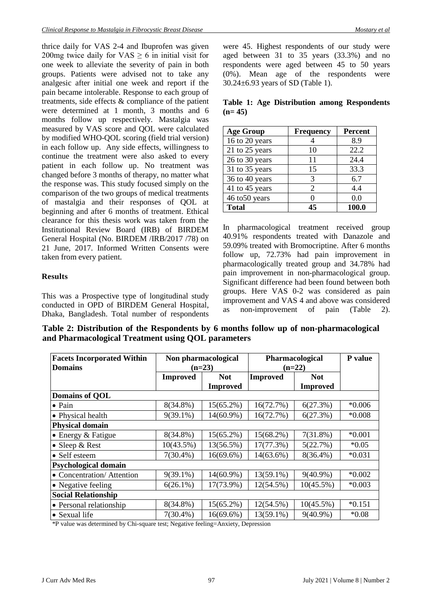thrice daily for VAS 2-4 and Ibuprofen was given 200mg twice daily for  $VAS \geq 6$  in initial visit for one week to alleviate the severity of pain in both groups. Patients were advised not to take any analgesic after initial one week and report if the pain became intolerable. Response to each group of treatments, side effects & compliance of the patient were determined at 1 month, 3 months and 6 months follow up respectively. Mastalgia was measured by VAS score and QOL were calculated by modified WHO-QOL scoring (field trial version) in each follow up. Any side effects, willingness to continue the treatment were also asked to every patient in each follow up. No treatment was changed before 3 months of therapy, no matter what the response was. This study focused simply on the comparison of the two groups of medical treatments of mastalgia and their responses of QOL at beginning and after 6 months of treatment. Ethical clearance for this thesis work was taken from the Institutional Review Board (IRB) of BIRDEM General Hospital (No. BIRDEM /IRB/2017 /78) on 21 June, 2017. Informed Written Consents were taken from every patient.

## **Results**

This was a Prospective type of longitudinal study conducted in OPD of BIRDEM General Hospital, Dhaka, Bangladesh. Total number of respondents were 45. Highest respondents of our study were aged between 31 to 35 years (33.3%) and no respondents were aged between 45 to 50 years (0%). Mean age of the respondents were 30.24±6.93 years of SD (Table 1).

**Table 1: Age Distribution among Respondents (n= 45)**

| <b>Age Group</b> | <b>Frequency</b> | <b>Percent</b> |
|------------------|------------------|----------------|
| 16 to 20 years   |                  | 8.9            |
| 21 to 25 years   | 10               | 22.2           |
| 26 to 30 years   | 11               | 24.4           |
| 31 to 35 years   | 15               | 33.3           |
| 36 to 40 years   | 3                | 6.7            |
| 41 to 45 years   | 2                | 4.4            |
| 46 to 50 years   |                  | 0.0            |
| <b>Total</b>     | 45               | 100.0          |

In pharmacological treatment received group 40.91% respondents treated with Danazole and 59.09% treated with Bromocriptine. After 6 months follow up, 72.73% had pain improvement in pharmacologically treated group and 34.78% had pain improvement in non-pharmacological group. Significant difference had been found between both groups. Here VAS 0-2 was considered as pain improvement and VAS 4 and above was considered as non-improvement of pain (Table 2).

**Table 2: Distribution of the Respondents by 6 months follow up of non-pharmacological and Pharmacological Treatment using QOL parameters**

| <b>Facets Incorporated Within</b> | Non pharmacological |                 | Pharmacological |                 | <b>P</b> value |  |
|-----------------------------------|---------------------|-----------------|-----------------|-----------------|----------------|--|
| <b>Domains</b>                    | $(n=23)$            |                 | $(n=22)$        |                 |                |  |
|                                   | <b>Improved</b>     | <b>Not</b>      | <b>Improved</b> | <b>Not</b>      |                |  |
|                                   |                     | <b>Improved</b> |                 | <b>Improved</b> |                |  |
| <b>Domains of QOL</b>             |                     |                 |                 |                 |                |  |
| $\bullet$ Pain                    | $8(34.8\%)$         | $15(65.2\%)$    | 16(72.7%)       | 6(27.3%)        | $*0.006$       |  |
| • Physical health                 | $9(39.1\%)$         | $14(60.9\%)$    | 16(72.7%)       | 6(27.3%)        | $*0.008$       |  |
| <b>Physical domain</b>            |                     |                 |                 |                 |                |  |
| $\bullet$ Energy & Fatigue        | 8(34.8%)            | $15(65.2\%)$    | 15(68.2%)       | $7(31.8\%)$     | $*0.001$       |  |
| • Sleep $&$ Rest                  | 10(43.5%)           | 13(56.5%)       | 17(77.3%)       | 5(22.7%)        | $*0.05$        |  |
| • Self esteem                     | $7(30.4\%)$         | $16(69.6\%)$    | $14(63.6\%)$    | $8(36.4\%)$     | $*0.031$       |  |
| <b>Psychological domain</b>       |                     |                 |                 |                 |                |  |
| • Concentration/ Attention        | $9(39.1\%)$         | 14(60.9%)       | 13(59.1%)       | $9(40.9\%)$     | $*0.002$       |  |
| • Negative feeling                | $6(26.1\%)$         | 17(73.9%)       | 12(54.5%)       | $10(45.5\%)$    | $*0.003$       |  |
| <b>Social Relationship</b>        |                     |                 |                 |                 |                |  |
| • Personal relationship           | 8(34.8%)            | $15(65.2\%)$    | 12(54.5%)       | 10(45.5%)       | $*0.151$       |  |
| • Sexual life                     | $7(30.4\%)$         | $16(69.6\%)$    | 13(59.1%)       | $9(40.9\%)$     | $*0.08$        |  |

\*P value was determined by Chi-square test; Negative feeling=Anxiety, Depression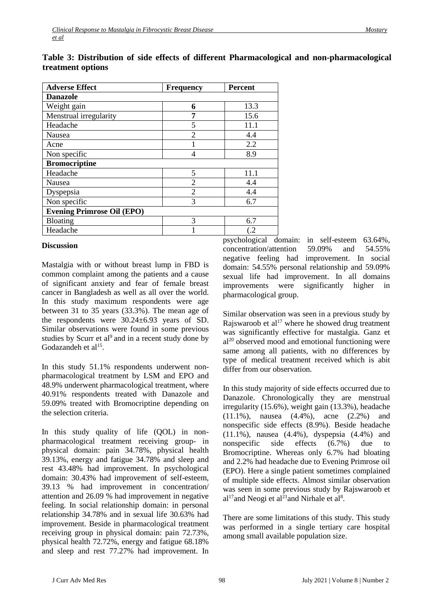| <b>Adverse Effect</b>             | <b>Frequency</b> | <b>Percent</b> |  |  |  |  |
|-----------------------------------|------------------|----------------|--|--|--|--|
| <b>Danazole</b>                   |                  |                |  |  |  |  |
| Weight gain                       | 6                | 13.3           |  |  |  |  |
| Menstrual irregularity            | 7                | 15.6           |  |  |  |  |
| Headache                          | 5                | 11.1           |  |  |  |  |
| <b>Nausea</b>                     | $\overline{2}$   | 4.4            |  |  |  |  |
| Acne                              |                  | 2.2            |  |  |  |  |
| Non specific                      | 4                | 8.9            |  |  |  |  |
| <b>Bromocriptine</b>              |                  |                |  |  |  |  |
| Headache                          | 5                | 11.1           |  |  |  |  |
| Nausea                            | $\overline{2}$   | 4.4            |  |  |  |  |
| Dyspepsia                         | $\overline{2}$   | 4.4            |  |  |  |  |
| Non specific                      | 3                | 6.7            |  |  |  |  |
| <b>Evening Primrose Oil (EPO)</b> |                  |                |  |  |  |  |
| <b>Bloating</b>                   | 3                | 6.7            |  |  |  |  |
| Headache                          |                  | $\cdot$ .2     |  |  |  |  |

## **Table 3: Distribution of side effects of different Pharmacological and non-pharmacological treatment options**

### **Discussion**

Mastalgia with or without breast lump in FBD is common complaint among the patients and a cause of significant anxiety and fear of female breast cancer in Bangladesh as well as all over the world. In this study maximum respondents were age between 31 to 35 years (33.3%). The mean age of the respondents were 30.24±6.93 years of SD. Similar observations were found in some previous studies by Scurr et al<sup>9</sup> and in a recent study done by Godazandeh et al<sup>15</sup>.

In this study 51.1% respondents underwent nonpharmacological treatment by LSM and EPO and 48.9% underwent pharmacological treatment, where 40.91% respondents treated with Danazole and 59.09% treated with Bromocriptine depending on the selection criteria.

In this study quality of life (QOL) in nonpharmacological treatment receiving group- in physical domain: pain 34.78%, physical health 39.13%, energy and fatigue 34.78% and sleep and rest 43.48% had improvement. In psychological domain: 30.43% had improvement of self-esteem, 39.13 % had improvement in concentration/ attention and 26.09 % had improvement in negative feeling. In social relationship domain: in personal relationship 34.78% and in sexual life 30.63% had improvement. Beside in pharmacological treatment receiving group in physical domain: pain 72.73%, physical health 72.72%, energy and fatigue 68.18% and sleep and rest 77.27% had improvement. In

psychological domain: in self-esteem 63.64%, concentration/attention 59.09% and 54.55% negative feeling had improvement. In social domain: 54.55% personal relationship and 59.09% sexual life had improvement. In all domains improvements were significantly higher in pharmacological group.

Similar observation was seen in a previous study by Rajswaroob et al<sup>17</sup> where he showed drug treatment was significantly effective for mastalgia. Ganz et  $al^{20}$  observed mood and emotional functioning were same among all patients, with no differences by type of medical treatment received which is abit differ from our observation.

In this study majority of side effects occurred due to Danazole. Chronologically they are menstrual irregularity (15.6%), weight gain (13.3%), headache (11.1%), nausea (4.4%), acne (2.2%) and nonspecific side effects (8.9%). Beside headache (11.1%), nausea (4.4%), dyspepsia (4.4%) and nonspecific side effects (6.7%) due to Bromocriptine. Whereas only 6.7% had bloating and 2.2% had headache due to Evening Primrose oil (EPO). Here a single patient sometimes complained of multiple side effects. Almost similar observation was seen in some previous study by Rajswaroob et  $al<sup>17</sup>$  and Neogi et al<sup>21</sup> and Nirhale et al<sup>8</sup>.

There are some limitations of this study. This study was performed in a single tertiary care hospital among small available population size.